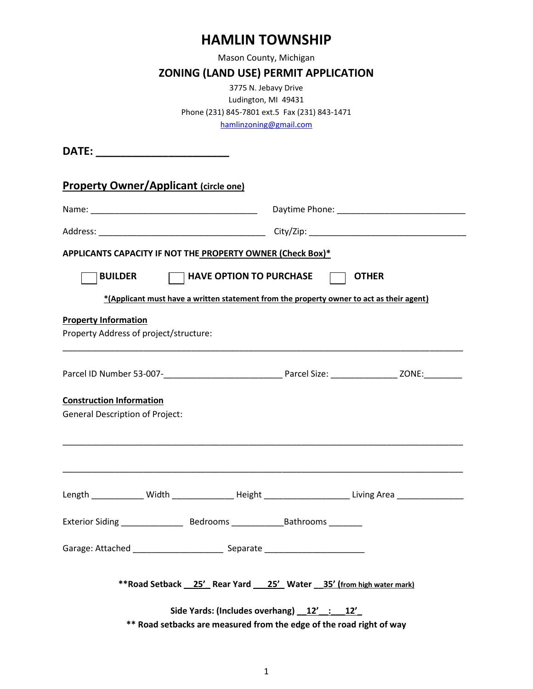## **HAMLIN TOWNSHIP**

Mason County, Michigan

### **ZONING (LAND USE) PERMIT APPLICATION**

3775 N. Jebavy Drive Ludington, MI 49431 Phone (231) 845-7801 ext.5 Fax (231) 843-1471 [hamlinzoning@gmail.com](mailto:hamlintwp@hamlintownship.org)

**DATE: \_\_\_\_\_\_\_\_\_\_\_\_\_\_\_\_\_\_\_\_\_\_ Property Owner/Applicant (circle one)** Name: \_\_\_\_\_\_\_\_\_\_\_\_\_\_\_\_\_\_\_\_\_\_\_\_\_\_\_\_\_\_\_\_\_\_\_ Daytime Phone: \_\_\_\_\_\_\_\_\_\_\_\_\_\_\_\_\_\_\_\_\_\_\_\_\_\_\_ Address: \_\_\_\_\_\_\_\_\_\_\_\_\_\_\_\_\_\_\_\_\_\_\_\_\_\_\_\_\_\_\_\_\_\_\_ City/Zip: \_\_\_\_\_\_\_\_\_\_\_\_\_\_\_\_\_\_\_\_\_\_\_\_\_\_\_\_\_\_\_\_\_ **APPLICANTS CAPACITY IF NOT THE PROPERTY OWNER (Check Box)\*** <code>|BUILDER  $\Box$  HAVE OPTION TO PURCHASE  $\Box$  OTHER</code> **\*(Applicant must have a written statement from the property owner to act as their agent) Property Information** Property Address of project/structure: \_\_\_\_\_\_\_\_\_\_\_\_\_\_\_\_\_\_\_\_\_\_\_\_\_\_\_\_\_\_\_\_\_\_\_\_\_\_\_\_\_\_\_\_\_\_\_\_\_\_\_\_\_\_\_\_\_\_\_\_\_\_\_\_\_\_\_\_\_\_\_\_\_\_\_\_\_\_\_\_\_\_\_\_ Parcel ID Number 53-007-\_\_\_\_\_\_\_\_\_\_\_\_\_\_\_\_\_\_\_\_\_\_\_\_\_ Parcel Size: \_\_\_\_\_\_\_\_\_\_\_\_\_\_ ZONE:\_\_\_\_\_\_\_\_ **Construction Information** General Description of Project: \_\_\_\_\_\_\_\_\_\_\_\_\_\_\_\_\_\_\_\_\_\_\_\_\_\_\_\_\_\_\_\_\_\_\_\_\_\_\_\_\_\_\_\_\_\_\_\_\_\_\_\_\_\_\_\_\_\_\_\_\_\_\_\_\_\_\_\_\_\_\_\_\_\_\_\_\_\_\_\_\_\_\_\_ \_\_\_\_\_\_\_\_\_\_\_\_\_\_\_\_\_\_\_\_\_\_\_\_\_\_\_\_\_\_\_\_\_\_\_\_\_\_\_\_\_\_\_\_\_\_\_\_\_\_\_\_\_\_\_\_\_\_\_\_\_\_\_\_\_\_\_\_\_\_\_\_\_\_\_\_\_\_\_\_\_\_\_\_ Length \_\_\_\_\_\_\_\_\_\_\_ Width \_\_\_\_\_\_\_\_\_\_\_\_\_ Height \_\_\_\_\_\_\_\_\_\_\_\_\_\_\_\_\_\_ Living Area \_\_\_\_\_\_\_\_\_\_\_\_\_\_ Exterior Siding \_\_\_\_\_\_\_\_\_\_\_\_\_ Bedrooms \_\_\_\_\_\_\_\_\_\_\_Bathrooms \_\_\_\_\_\_\_ Garage: Attached \_\_\_\_\_\_\_\_\_\_\_\_\_\_\_\_\_\_\_\_\_\_\_\_\_\_\_\_\_ Separate \_\_\_\_\_\_\_\_\_\_\_\_\_\_\_\_\_\_\_\_\_\_\_\_ **\*\*Road Setback \_\_25'\_ Rear Yard \_\_\_25'\_ Water \_\_35' (from high water mark) Side Yards: (Includes overhang) \_\_12'\_\_:\_\_\_12'\_ \*\* Road setbacks are measured from the edge of the road right of way**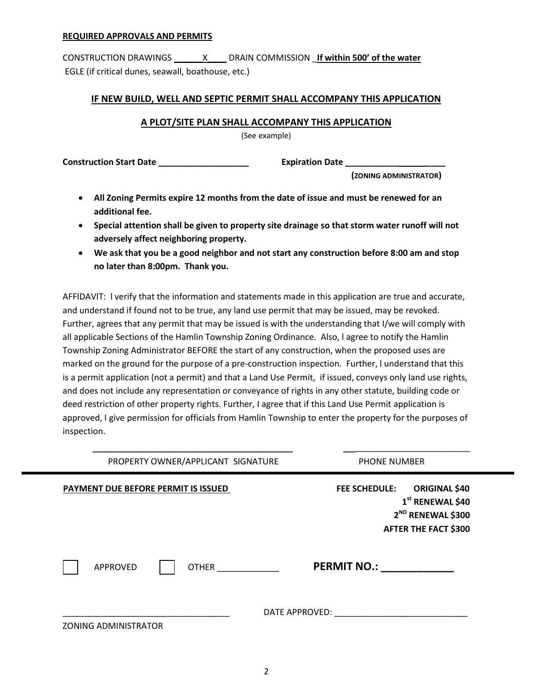#### **REQUIRED APPROVALS AND PERMITS**

CONSTRUCTION DRAWINGS \_\_\_\_\_\_X\_\_\_\_ DRAIN COMMISSION \_**If within 500' of the water** EGLE (if critical dunes, seawall, boathouse, etc.)

#### **IF NEW BUILD, WELL AND SEPTIC PERMIT SHALL ACCOMPANY THIS APPLICATION**

#### **A PLOT/SITE PLAN SHALL ACCOMPANY THIS APPLICATION**

(See example)

**Construction Start Date \_\_\_\_\_\_\_\_\_\_\_\_\_\_\_\_\_\_\_ Expiration Date \_\_\_\_\_\_\_\_\_\_\_\_\_\_\_\_\_\_\_\_\_**

 **(ZONING ADMINISTRATOR)**

- **All Zoning Permits expire 12 months from the date of issue and must be renewed for an additional fee.**
- **Special attention shall be given to property site drainage so that storm water runoff will not adversely affect neighboring property.**
- **We ask that you be a good neighbor and not start any construction before 8:00 am and stop no later than 8:00pm. Thank you.**

AFFIDAVIT: l verify that the information and statements made in this application are true and accurate, and understand if found not to be true, any land use permit that may be issued, may be revoked. Further, agrees that any permit that may be issued is with the understanding that I/we will comply with all applicable Sections of the Hamlin Township Zoning Ordinance. Also, l agree to notify the Hamlin Township Zoning Administrator BEFORE the start of any construction, when the proposed uses are marked on the ground for the purpose of a pre-construction inspection. Further, l understand that this is a permit application (not a permit) and that a Land Use Permit, if issued, conveys only land use rights, and does not include any representation or conveyance of rights in any other statute, building code or deed restriction of other property rights. Further, I agree that if this Land Use Permit application is approved, I give permission for officials from Hamlin Township to enter the property for the purposes of inspection.

| PROPERTY OWNER/APPLICANT SIGNATURE  | <b>PHONE NUMBER</b>                                                                                                                          |
|-------------------------------------|----------------------------------------------------------------------------------------------------------------------------------------------|
| PAYMENT DUE BEFORE PERMIT IS ISSUED | <b>ORIGINAL \$40</b><br><b>FEE SCHEDULE:</b><br>1 <sup>st</sup> RENEWAL \$40<br>2 <sup>ND</sup> RENEWAL \$300<br><b>AFTER THE FACT \$300</b> |
| <b>APPROVED</b><br><b>OTHER</b>     | <b>PERMIT NO.:</b>                                                                                                                           |
| <b>ZONING ADMINISTRATOR</b>         | DATE APPROVED:                                                                                                                               |